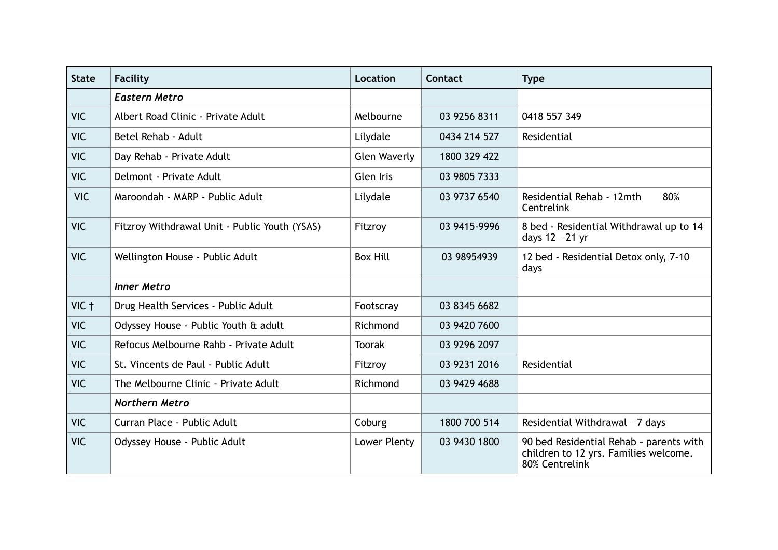| <b>State</b> | Facility                                      | Location            | <b>Contact</b> | <b>Type</b>                                                                                        |
|--------------|-----------------------------------------------|---------------------|----------------|----------------------------------------------------------------------------------------------------|
|              | <b>Eastern Metro</b>                          |                     |                |                                                                                                    |
| <b>VIC</b>   | Albert Road Clinic - Private Adult            | Melbourne           | 03 9256 8311   | 0418 557 349                                                                                       |
| <b>VIC</b>   | Betel Rehab - Adult                           | Lilydale            | 0434 214 527   | Residential                                                                                        |
| <b>VIC</b>   | Day Rehab - Private Adult                     | <b>Glen Waverly</b> | 1800 329 422   |                                                                                                    |
| <b>VIC</b>   | Delmont - Private Adult                       | <b>Glen Iris</b>    | 03 9805 7333   |                                                                                                    |
| <b>VIC</b>   | Maroondah - MARP - Public Adult               | Lilydale            | 03 9737 6540   | 80%<br>Residential Rehab - 12mth<br>Centrelink                                                     |
| <b>VIC</b>   | Fitzroy Withdrawal Unit - Public Youth (YSAS) | Fitzroy             | 03 9415-9996   | 8 bed - Residential Withdrawal up to 14<br>days 12 - 21 yr                                         |
| <b>VIC</b>   | Wellington House - Public Adult               | <b>Box Hill</b>     | 03 98954939    | 12 bed - Residential Detox only, 7-10<br>days                                                      |
|              | <b>Inner Metro</b>                            |                     |                |                                                                                                    |
| VIC +        | Drug Health Services - Public Adult           | Footscray           | 03 8345 6682   |                                                                                                    |
| <b>VIC</b>   | Odyssey House - Public Youth & adult          | Richmond            | 03 9420 7600   |                                                                                                    |
| <b>VIC</b>   | Refocus Melbourne Rahb - Private Adult        | <b>Toorak</b>       | 03 9296 2097   |                                                                                                    |
| <b>VIC</b>   | St. Vincents de Paul - Public Adult           | Fitzroy             | 03 9231 2016   | Residential                                                                                        |
| <b>VIC</b>   | The Melbourne Clinic - Private Adult          | Richmond            | 03 9429 4688   |                                                                                                    |
|              | <b>Northern Metro</b>                         |                     |                |                                                                                                    |
| <b>VIC</b>   | Curran Place - Public Adult                   | Coburg              | 1800 700 514   | Residential Withdrawal - 7 days                                                                    |
| <b>VIC</b>   | Odyssey House - Public Adult                  | Lower Plenty        | 03 9430 1800   | 90 bed Residential Rehab - parents with<br>children to 12 yrs. Families welcome.<br>80% Centrelink |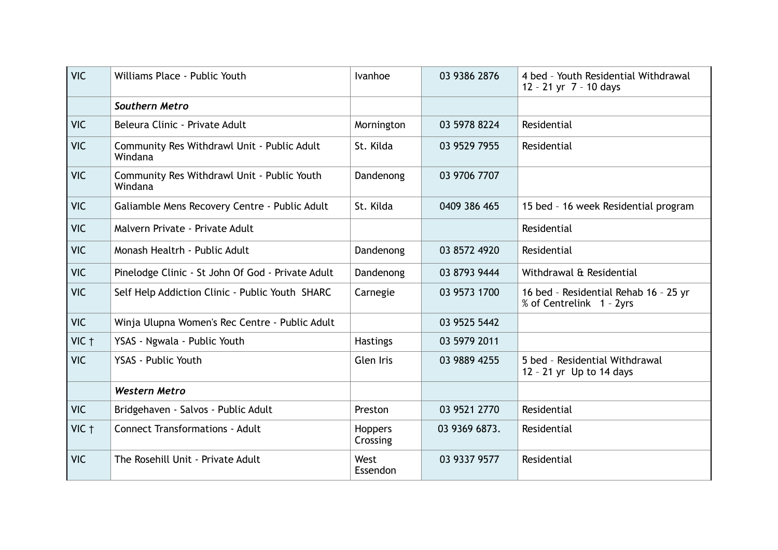| <b>VIC</b> | Williams Place - Public Youth                          | Ivanhoe                    | 03 9386 2876  | 4 bed - Youth Residential Withdrawal<br>12 - 21 yr 7 - 10 days    |
|------------|--------------------------------------------------------|----------------------------|---------------|-------------------------------------------------------------------|
|            | <b>Southern Metro</b>                                  |                            |               |                                                                   |
| <b>VIC</b> | Beleura Clinic - Private Adult                         | Mornington                 | 03 5978 8224  | Residential                                                       |
| <b>VIC</b> | Community Res Withdrawl Unit - Public Adult<br>Windana | St. Kilda                  | 03 9529 7955  | Residential                                                       |
| <b>VIC</b> | Community Res Withdrawl Unit - Public Youth<br>Windana | Dandenong                  | 03 9706 7707  |                                                                   |
| <b>VIC</b> | Galiamble Mens Recovery Centre - Public Adult          | St. Kilda                  | 0409 386 465  | 15 bed - 16 week Residential program                              |
| <b>VIC</b> | Malvern Private - Private Adult                        |                            |               | Residential                                                       |
| <b>VIC</b> | Monash Healtrh - Public Adult                          | Dandenong                  | 03 8572 4920  | Residential                                                       |
| <b>VIC</b> | Pinelodge Clinic - St John Of God - Private Adult      | Dandenong                  | 03 8793 9444  | Withdrawal & Residential                                          |
| <b>VIC</b> | Self Help Addiction Clinic - Public Youth SHARC        | Carnegie                   | 03 9573 1700  | 16 bed - Residential Rehab 16 - 25 yr<br>% of Centrelink 1 - 2yrs |
| <b>VIC</b> | Winja Ulupna Women's Rec Centre - Public Adult         |                            | 03 9525 5442  |                                                                   |
| $VIC$ †    | YSAS - Ngwala - Public Youth                           | <b>Hastings</b>            | 03 5979 2011  |                                                                   |
| <b>VIC</b> | YSAS - Public Youth                                    | Glen Iris                  | 03 9889 4255  | 5 bed - Residential Withdrawal<br>12 - 21 yr Up to 14 days        |
|            | <b>Western Metro</b>                                   |                            |               |                                                                   |
| <b>VIC</b> | Bridgehaven - Salvos - Public Adult                    | Preston                    | 03 9521 2770  | Residential                                                       |
| VIC †      | <b>Connect Transformations - Adult</b>                 | <b>Hoppers</b><br>Crossing | 03 9369 6873. | Residential                                                       |
| <b>VIC</b> | The Rosehill Unit - Private Adult                      | West<br>Essendon           | 03 9337 9577  | Residential                                                       |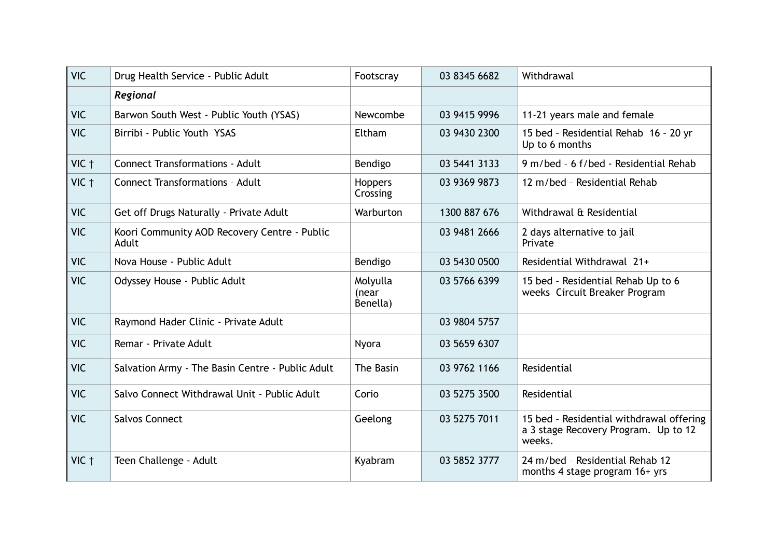| <b>VIC</b>       | Drug Health Service - Public Adult                    | Footscray                     | 03 8345 6682 | Withdrawal                                                                                 |
|------------------|-------------------------------------------------------|-------------------------------|--------------|--------------------------------------------------------------------------------------------|
|                  | Regional                                              |                               |              |                                                                                            |
| <b>VIC</b>       | Barwon South West - Public Youth (YSAS)               | Newcombe                      | 03 9415 9996 | 11-21 years male and female                                                                |
| <b>VIC</b>       | Birribi - Public Youth YSAS                           | Eltham                        | 03 9430 2300 | 15 bed - Residential Rehab 16 - 20 yr<br>Up to 6 months                                    |
| VIC +            | <b>Connect Transformations - Adult</b>                | Bendigo                       | 03 5441 3133 | 9 m/bed - 6 f/bed - Residential Rehab                                                      |
| $VIC$ $\uparrow$ | <b>Connect Transformations - Adult</b>                | <b>Hoppers</b><br>Crossing    | 03 9369 9873 | 12 m/bed - Residential Rehab                                                               |
| <b>VIC</b>       | Get off Drugs Naturally - Private Adult               | Warburton                     | 1300 887 676 | Withdrawal & Residential                                                                   |
| <b>VIC</b>       | Koori Community AOD Recovery Centre - Public<br>Adult |                               | 03 9481 2666 | 2 days alternative to jail<br>Private                                                      |
| <b>VIC</b>       | Nova House - Public Adult                             | Bendigo                       | 03 5430 0500 | Residential Withdrawal 21+                                                                 |
| <b>VIC</b>       | Odyssey House - Public Adult                          | Molyulla<br>(near<br>Benella) | 03 5766 6399 | 15 bed - Residential Rehab Up to 6<br>weeks Circuit Breaker Program                        |
| <b>VIC</b>       | Raymond Hader Clinic - Private Adult                  |                               | 03 9804 5757 |                                                                                            |
| <b>VIC</b>       | Remar - Private Adult                                 | Nyora                         | 03 5659 6307 |                                                                                            |
| <b>VIC</b>       | Salvation Army - The Basin Centre - Public Adult      | The Basin                     | 03 9762 1166 | Residential                                                                                |
| <b>VIC</b>       | Salvo Connect Withdrawal Unit - Public Adult          | Corio                         | 03 5275 3500 | Residential                                                                                |
| <b>VIC</b>       | <b>Salvos Connect</b>                                 | Geelong                       | 03 5275 7011 | 15 bed - Residential withdrawal offering<br>a 3 stage Recovery Program. Up to 12<br>weeks. |
| VIC +            | Teen Challenge - Adult                                | Kyabram                       | 03 5852 3777 | 24 m/bed - Residential Rehab 12<br>months 4 stage program 16+ yrs                          |